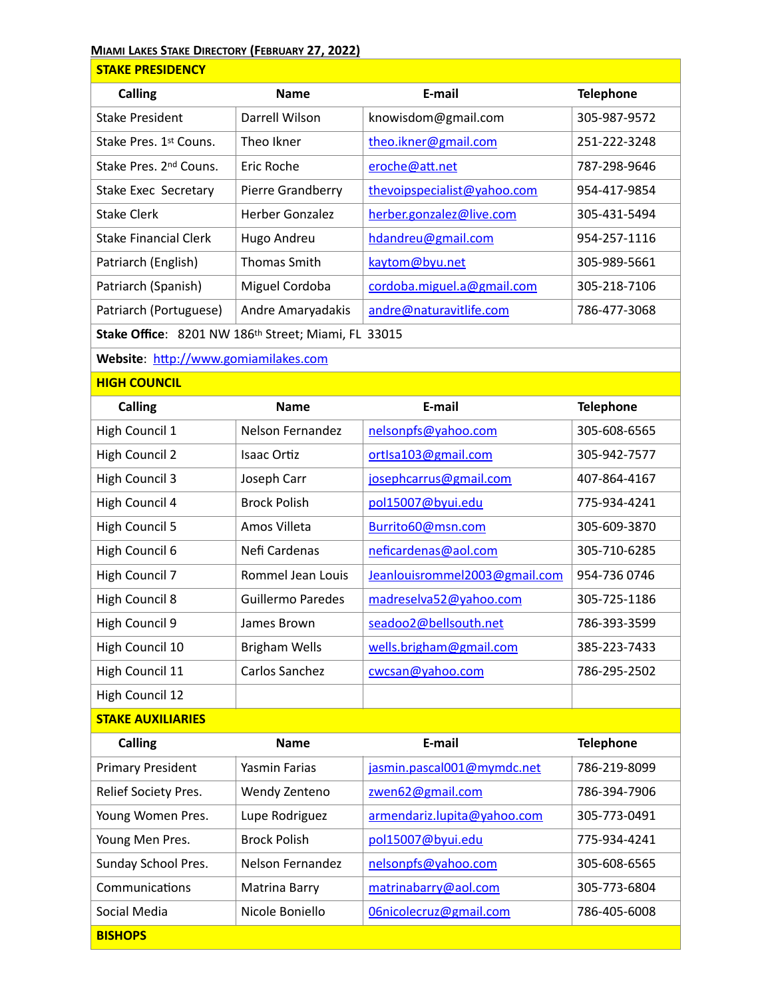## **MIAMI LAKES STAKE DIRECTORY (FEBRUARY 27, 2022)**

| <b>STAKE PRESIDENCY</b>                             |                     |                             |                  |  |  |
|-----------------------------------------------------|---------------------|-----------------------------|------------------|--|--|
| Calling                                             | <b>Name</b>         | E-mail                      | <b>Telephone</b> |  |  |
| <b>Stake President</b>                              | Darrell Wilson      | knowisdom@gmail.com         | 305-987-9572     |  |  |
| Stake Pres. 1st Couns.                              | Theo Ikner          | theo.ikner@gmail.com        | 251-222-3248     |  |  |
| Stake Pres. 2nd Couns.                              | Eric Roche          | eroche@att.net              | 787-298-9646     |  |  |
| Stake Exec Secretary                                | Pierre Grandberry   | thevoipspecialist@yahoo.com | 954-417-9854     |  |  |
| <b>Stake Clerk</b>                                  | Herber Gonzalez     | herber.gonzalez@live.com    | 305-431-5494     |  |  |
| <b>Stake Financial Clerk</b>                        | Hugo Andreu         | hdandreu@gmail.com          | 954-257-1116     |  |  |
| Patriarch (English)                                 | <b>Thomas Smith</b> | kaytom@byu.net              | 305-989-5661     |  |  |
| Patriarch (Spanish)                                 | Miguel Cordoba      | cordoba.miguel.a@gmail.com  | 305-218-7106     |  |  |
| Patriarch (Portuguese)                              | Andre Amaryadakis   | andre@naturavitlife.com     | 786-477-3068     |  |  |
| Stake Office: 8201 NW 186th Street; Miami, FL 33015 |                     |                             |                  |  |  |

Website: http://www.gomiamilakes.com

**HIGH COUNCIL**

**BISHOPS**

| <b>Calling</b>           | <b>Name</b>              | E-mail                        | <b>Telephone</b> |
|--------------------------|--------------------------|-------------------------------|------------------|
| High Council 1           | Nelson Fernandez         | nelsonpfs@yahoo.com           | 305-608-6565     |
| High Council 2           | <b>Isaac Ortiz</b>       | ortlsa103@gmail.com           | 305-942-7577     |
| High Council 3           | Joseph Carr              | josephcarrus@gmail.com        | 407-864-4167     |
| High Council 4           | <b>Brock Polish</b>      | pol15007@byui.edu             | 775-934-4241     |
| High Council 5           | Amos Villeta             | Burrito60@msn.com             | 305-609-3870     |
| High Council 6           | Nefi Cardenas            | neficardenas@aol.com          | 305-710-6285     |
| High Council 7           | Rommel Jean Louis        | Jeanlouisrommel2003@gmail.com | 954-736 0746     |
| High Council 8           | <b>Guillermo Paredes</b> | madreselva52@yahoo.com        | 305-725-1186     |
| High Council 9           | James Brown              | seadoo2@bellsouth.net         | 786-393-3599     |
| High Council 10          | <b>Brigham Wells</b>     | wells.brigham@gmail.com       | 385-223-7433     |
| High Council 11          | Carlos Sanchez           | cwcsan@yahoo.com              | 786-295-2502     |
| High Council 12          |                          |                               |                  |
| <b>STAKE AUXILIARIES</b> |                          |                               |                  |
| <b>Calling</b>           | <b>Name</b>              | E-mail                        | <b>Telephone</b> |
| <b>Primary President</b> | Yasmin Farias            | jasmin.pascal001@mymdc.net    | 786-219-8099     |
| Relief Society Pres.     | Wendy Zenteno            | zwen62@gmail.com              | 786-394-7906     |
| Young Women Pres.        | Lupe Rodriguez           | armendariz.lupita@yahoo.com   | 305-773-0491     |
| Young Men Pres.          | <b>Brock Polish</b>      | pol15007@byui.edu             | 775-934-4241     |
| Sunday School Pres.      | <b>Nelson Fernandez</b>  | nelsonpfs@yahoo.com           | 305-608-6565     |
| Communications           | Matrina Barry            | matrinabarry@aol.com          | 305-773-6804     |
| Social Media             | Nicole Boniello          | 06nicolecruz@gmail.com        | 786-405-6008     |